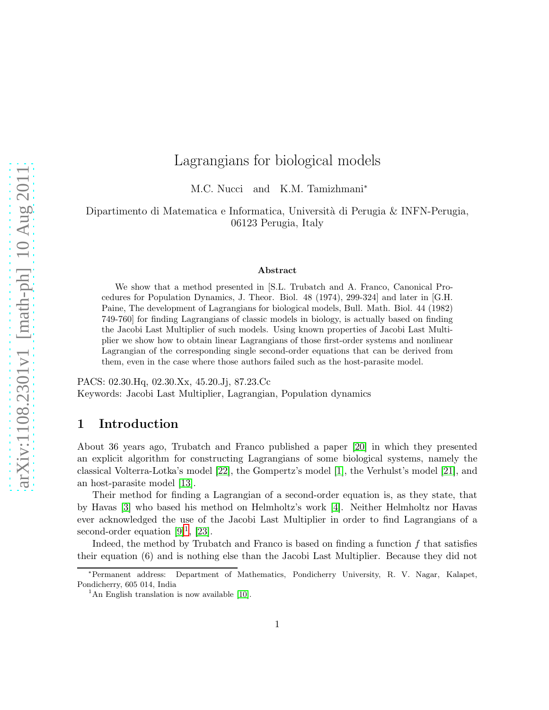# Lagrangians for biological models

M.C. Nucci and K.M. Tamizhmani<sup>∗</sup>

Dipartimento di Matematica e Informatica, Università di Perugia & INFN-Perugia, 06123 Perugia, Italy

#### Abstract

We show that a method presented in [S.L. Trubatch and A. Franco, Canonical Procedures for Population Dynamics, J. Theor. Biol. 48 (1974), 299-324] and later in [G.H. Paine, The development of Lagrangians for biological models, Bull. Math. Biol. 44 (1982) 749-760] for finding Lagrangians of classic models in biology, is actually based on finding the Jacobi Last Multiplier of such models. Using known properties of Jacobi Last Multiplier we show how to obtain linear Lagrangians of those first-order systems and nonlinear Lagrangian of the corresponding single second-order equations that can be derived from them, even in the case where those authors failed such as the host-parasite model.

PACS: 02.30.Hq, 02.30.Xx, 45.20.Jj, 87.23.Cc Keywords: Jacobi Last Multiplier, Lagrangian, Population dynamics

# 1 Introduction

About 36 years ago, Trubatch and Franco published a paper [\[20\]](#page-14-0) in which they presented an explicit algorithm for constructing Lagrangians of some biological systems, namely the classical Volterra-Lotka's model [\[22\]](#page-14-1), the Gompertz's model [\[1\]](#page-13-0), the Verhulst's model [\[21\]](#page-14-2), and an host-parasite model [\[13\]](#page-14-3).

Their method for finding a Lagrangian of a second-order equation is, as they state, that by Havas [3] who based his method on Helmholtz's work [4]. Neither Helmholtz nor Havas ever acknowledged the use of the Jacobi Last Multiplier in order to find Lagrangians of a second-order equation  $[9]^1$  $[9]^1$ ,  $[23]$ .

Indeed, the method by Trubatch and Franco is based on finding a function  $f$  that satisfies their equation (6) and is nothing else than the Jacobi Last Multiplier. Because they did not

<sup>∗</sup>Permanent address: Department of Mathematics, Pondicherry University, R. V. Nagar, Kalapet, Pondicherry, 605 014, India

<span id="page-0-0"></span><sup>&</sup>lt;sup>1</sup>An English translation is now available [\[10\]](#page-13-2).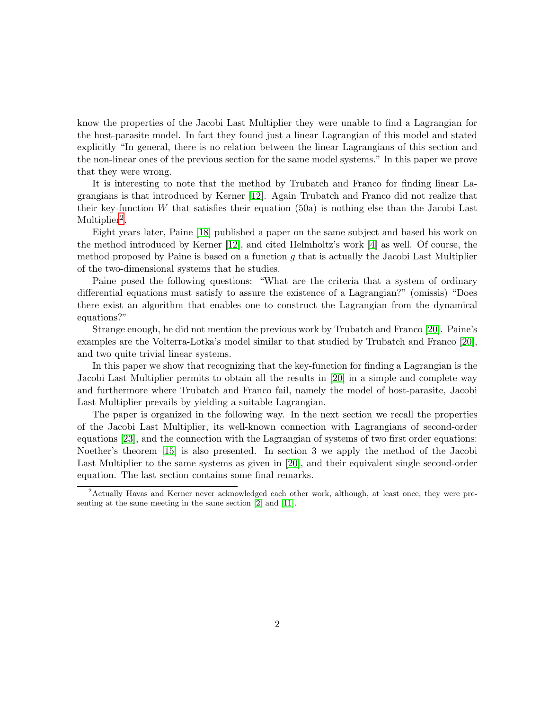know the properties of the Jacobi Last Multiplier they were unable to find a Lagrangian for the host-parasite model. In fact they found just a linear Lagrangian of this model and stated explicitly "In general, there is no relation between the linear Lagrangians of this section and the non-linear ones of the previous section for the same model systems." In this paper we prove that they were wrong.

It is interesting to note that the method by Trubatch and Franco for finding linear Lagrangians is that introduced by Kerner [12]. Again Trubatch and Franco did not realize that their key-function W that satisfies their equation  $(50a)$  is nothing else than the Jacobi Last Multiplier<sup>[2](#page-1-0)</sup>.

Eight years later, Paine [\[18\]](#page-14-5) published a paper on the same subject and based his work on the method introduced by Kerner [12], and cited Helmholtz's work [4] as well. Of course, the method proposed by Paine is based on a function  $q$  that is actually the Jacobi Last Multiplier of the two-dimensional systems that he studies.

Paine posed the following questions: "What are the criteria that a system of ordinary differential equations must satisfy to assure the existence of a Lagrangian?" (omissis) "Does there exist an algorithm that enables one to construct the Lagrangian from the dynamical equations?"

Strange enough, he did not mention the previous work by Trubatch and Franco [\[20\]](#page-14-0). Paine's examples are the Volterra-Lotka's model similar to that studied by Trubatch and Franco [\[20\]](#page-14-0), and two quite trivial linear systems.

In this paper we show that recognizing that the key-function for finding a Lagrangian is the Jacobi Last Multiplier permits to obtain all the results in [\[20\]](#page-14-0) in a simple and complete way and furthermore where Trubatch and Franco fail, namely the model of host-parasite, Jacobi Last Multiplier prevails by yielding a suitable Lagrangian.

The paper is organized in the following way. In the next section we recall the properties of the Jacobi Last Multiplier, its well-known connection with Lagrangians of second-order equations [\[23\]](#page-14-4), and the connection with the Lagrangian of systems of two first order equations: Noether's theorem [\[15\]](#page-14-6) is also presented. In section 3 we apply the method of the Jacobi Last Multiplier to the same systems as given in [\[20\]](#page-14-0), and their equivalent single second-order equation. The last section contains some final remarks.

<span id="page-1-0"></span><sup>2</sup>Actually Havas and Kerner never acknowledged each other work, although, at least once, they were presenting at the same meeting in the same section [\[2\]](#page-13-3) and [\[11\]](#page-13-4).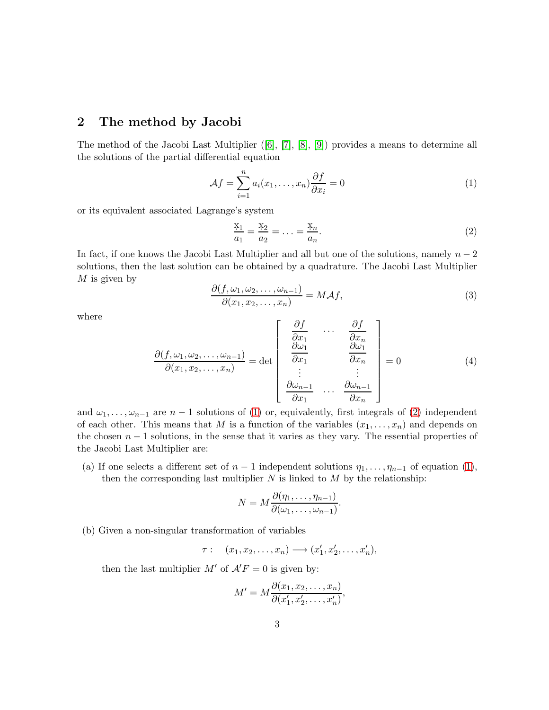# 2 The method by Jacobi

The method of the Jacobi Last Multiplier ([6], [7], [8], [\[9\]](#page-13-1)) provides a means to determine all the solutions of the partial differential equation

<span id="page-2-0"></span>
$$
\mathcal{A}f = \sum_{i=1}^{n} a_i(x_1, \dots, x_n) \frac{\partial f}{\partial x_i} = 0
$$
\n(1)

or its equivalent associated Lagrange's system

<span id="page-2-1"></span>
$$
\frac{x_1}{a_1} = \frac{x_2}{a_2} = \dots = \frac{x_n}{a_n}.
$$
 (2)

In fact, if one knows the Jacobi Last Multiplier and all but one of the solutions, namely  $n-2$ solutions, then the last solution can be obtained by a quadrature. The Jacobi Last Multiplier  $M$  is given by

$$
\frac{\partial(f, \omega_1, \omega_2, \dots, \omega_{n-1})}{\partial(x_1, x_2, \dots, x_n)} = M \mathcal{A} f,\tag{3}
$$

where

$$
\frac{\partial(f, \omega_1, \omega_2, \dots, \omega_{n-1})}{\partial(x_1, x_2, \dots, x_n)} = \det \begin{bmatrix} \frac{\partial f}{\partial x_1} & \cdots & \frac{\partial f}{\partial x_n} \\ \frac{\partial \omega_1}{\partial x_1} & \frac{\partial \omega_1}{\partial x_n} \\ \vdots & \vdots \\ \frac{\partial \omega_{n-1}}{\partial x_1} & \cdots & \frac{\partial \omega_{n-1}}{\partial x_n} \end{bmatrix} = 0
$$
\n(4)

and  $\omega_1, \ldots, \omega_{n-1}$  are  $n-1$  solutions of [\(1\)](#page-2-0) or, equivalently, first integrals of [\(2\)](#page-2-1) independent of each other. This means that M is a function of the variables  $(x_1, \ldots, x_n)$  and depends on the chosen  $n-1$  solutions, in the sense that it varies as they vary. The essential properties of the Jacobi Last Multiplier are:

(a) If one selects a different set of  $n-1$  independent solutions  $\eta_1, \ldots, \eta_{n-1}$  of equation [\(1\)](#page-2-0), then the corresponding last multiplier  $N$  is linked to  $M$  by the relationship:

$$
N = M \frac{\partial(\eta_1, \dots, \eta_{n-1})}{\partial(\omega_1, \dots, \omega_{n-1})}.
$$

(b) Given a non-singular transformation of variables

 $\tau: (x_1, x_2, \ldots, x_n) \longrightarrow (x_1'$  $x'_1, x'_2, \ldots, x'_n$ ),

then the last multiplier  $M'$  of  $A'F = 0$  is given by:

$$
M' = M \frac{\partial(x_1, x_2, \dots, x_n)}{\partial(x'_1, x'_2, \dots, x'_n)},
$$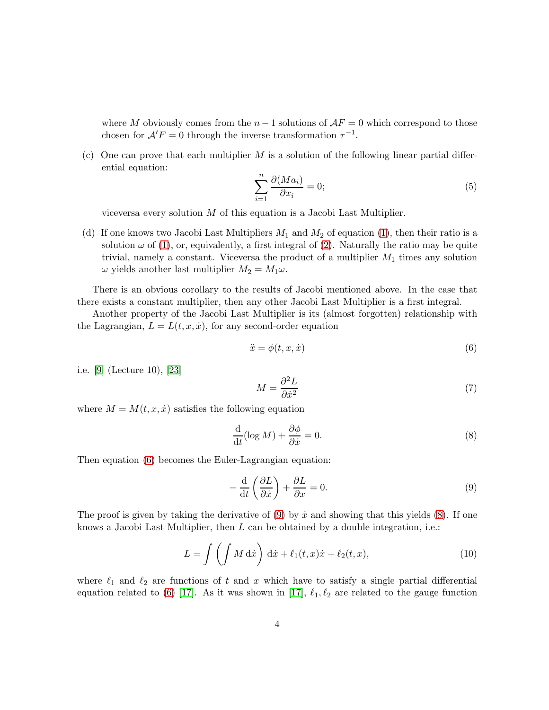where M obviously comes from the  $n-1$  solutions of  $AF = 0$  which correspond to those chosen for  $A'F = 0$  through the inverse transformation  $\tau^{-1}$ .

(c) One can prove that each multiplier M is a solution of the following linear partial differential equation:

<span id="page-3-3"></span>
$$
\sum_{i=1}^{n} \frac{\partial (Ma_i)}{\partial x_i} = 0; \tag{5}
$$

viceversa every solution  $M$  of this equation is a Jacobi Last Multiplier.

(d) If one knows two Jacobi Last Multipliers  $M_1$  and  $M_2$  of equation [\(1\)](#page-2-0), then their ratio is a solution  $\omega$  of [\(1\)](#page-2-0), or, equivalently, a first integral of [\(2\)](#page-2-1). Naturally the ratio may be quite trivial, namely a constant. Viceversa the product of a multiplier  $M_1$  times any solution  $\omega$  yields another last multiplier  $M_2 = M_1 \omega$ .

There is an obvious corollary to the results of Jacobi mentioned above. In the case that there exists a constant multiplier, then any other Jacobi Last Multiplier is a first integral.

Another property of the Jacobi Last Multiplier is its (almost forgotten) relationship with the Lagrangian,  $L = L(t, x, \dot{x})$ , for any second-order equation

<span id="page-3-0"></span>
$$
\ddot{x} = \phi(t, x, \dot{x})\tag{6}
$$

i.e. [\[9\]](#page-13-1) (Lecture 10), [\[23\]](#page-14-4)

$$
M = \frac{\partial^2 L}{\partial \dot{x}^2} \tag{7}
$$

where  $M = M(t, x, \dot{x})$  satisfies the following equation

<span id="page-3-2"></span>
$$
\frac{\mathrm{d}}{\mathrm{d}t}(\log M) + \frac{\partial \phi}{\partial \dot{x}} = 0.
$$
\n(8)

Then equation [\(6\)](#page-3-0) becomes the Euler-Lagrangian equation:

<span id="page-3-1"></span>
$$
-\frac{\mathrm{d}}{\mathrm{d}t}\left(\frac{\partial L}{\partial \dot{x}}\right) + \frac{\partial L}{\partial x} = 0.
$$
\n(9)

The proof is given by taking the derivative of [\(9\)](#page-3-1) by  $\dot{x}$  and showing that this yields [\(8\)](#page-3-2). If one knows a Jacobi Last Multiplier, then  $L$  can be obtained by a double integration, i.e.:

<span id="page-3-4"></span>
$$
L = \int \left( \int M \, \mathrm{d}\dot{x} \right) \, \mathrm{d}\dot{x} + \ell_1(t, x)\dot{x} + \ell_2(t, x), \tag{10}
$$

where  $\ell_1$  and  $\ell_2$  are functions of t and x which have to satisfy a single partial differential equation related to [\(6\)](#page-3-0) [\[17\]](#page-14-7). As it was shown in [17],  $\ell_1, \ell_2$  are related to the gauge function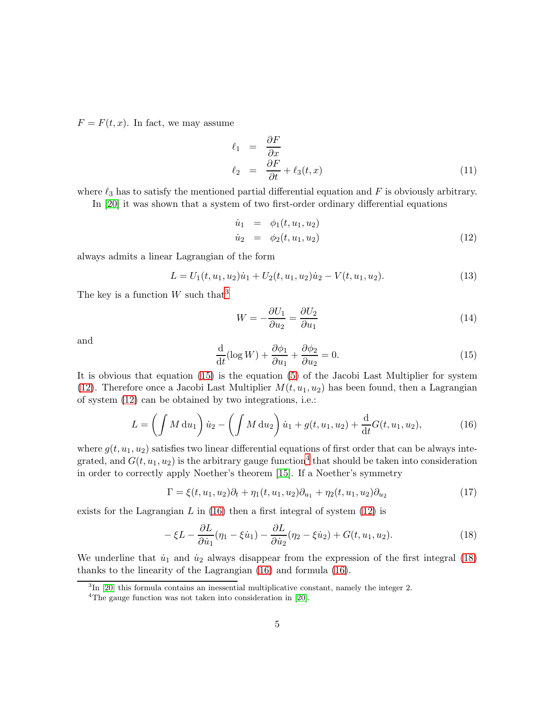$F = F(t, x)$ . In fact, we may assume

$$
\ell_1 = \frac{\partial F}{\partial x} \n\ell_2 = \frac{\partial F}{\partial t} + \ell_3(t, x)
$$
\n(11)

where  $\ell_3$  has to satisfy the mentioned partial differential equation and F is obviously arbitrary.

In [\[20\]](#page-14-0) it was shown that a system of two first-order ordinary differential equations

<span id="page-4-2"></span>
$$
\dot{u}_1 = \phi_1(t, u_1, u_2) \n\dot{u}_2 = \phi_2(t, u_1, u_2)
$$
\n(12)

always admits a linear Lagrangian of the form

$$
L = U_1(t, u_1, u_2)\dot{u}_1 + U_2(t, u_1, u_2)\dot{u}_2 - V(t, u_1, u_2). \tag{13}
$$

The key is a function  $W$  such that<sup>[3](#page-4-0)</sup>

$$
W = -\frac{\partial U_1}{\partial u_2} = \frac{\partial U_2}{\partial u_1} \tag{14}
$$

and

<span id="page-4-1"></span>
$$
\frac{\mathrm{d}}{\mathrm{d}t}(\log W) + \frac{\partial \phi_1}{\partial u_1} + \frac{\partial \phi_2}{\partial u_2} = 0.
$$
\n(15)

It is obvious that equation [\(15\)](#page-4-1) is the equation [\(5\)](#page-3-3) of the Jacobi Last Multiplier for system [\(12\)](#page-4-2). Therefore once a Jacobi Last Multiplier  $M(t, u_1, u_2)$  has been found, then a Lagrangian of system [\(12\)](#page-4-2) can be obtained by two integrations, i.e.:

<span id="page-4-4"></span>
$$
L = \left(\int M du_1\right) \dot{u}_2 - \left(\int M du_2\right) \dot{u}_1 + g(t, u_1, u_2) + \frac{d}{dt} G(t, u_1, u_2),\tag{16}
$$

where  $g(t, u_1, u_2)$  satisfies two linear differential equations of first order that can be always integrated, and  $G(t, u_1, u_2)$  is the arbitrary gauge function<sup>[4](#page-4-3)</sup> that should be taken into consideration in order to correctly apply Noether's theorem [\[15\]](#page-14-6). If a Noether's symmetry

$$
\Gamma = \xi(t, u_1, u_2)\partial_t + \eta_1(t, u_1, u_2)\partial_{u_1} + \eta_2(t, u_1, u_2)\partial_{u_2}
$$
\n(17)

exists for the Lagrangian L in  $(16)$  then a first integral of system  $(12)$  is

<span id="page-4-5"></span>
$$
-\xi L - \frac{\partial L}{\partial \dot{u}_1}(\eta_1 - \xi \dot{u}_1) - \frac{\partial L}{\partial \dot{u}_2}(\eta_2 - \xi \dot{u}_2) + G(t, u_1, u_2). \tag{18}
$$

We underline that  $\dot{u}_1$  and  $\dot{u}_2$  always disappear from the expression of the first integral [\(18\)](#page-4-5) thanks to the linearity of the Lagrangian [\(16\)](#page-4-4) and formula [\(16\)](#page-4-4).

<sup>&</sup>lt;sup>3</sup>In [\[20\]](#page-14-0) this formula contains an inessential multiplicative constant, namely the integer 2.

<span id="page-4-3"></span><span id="page-4-0"></span><sup>&</sup>lt;sup>4</sup>The gauge function was not taken into consideration in [\[20\]](#page-14-0).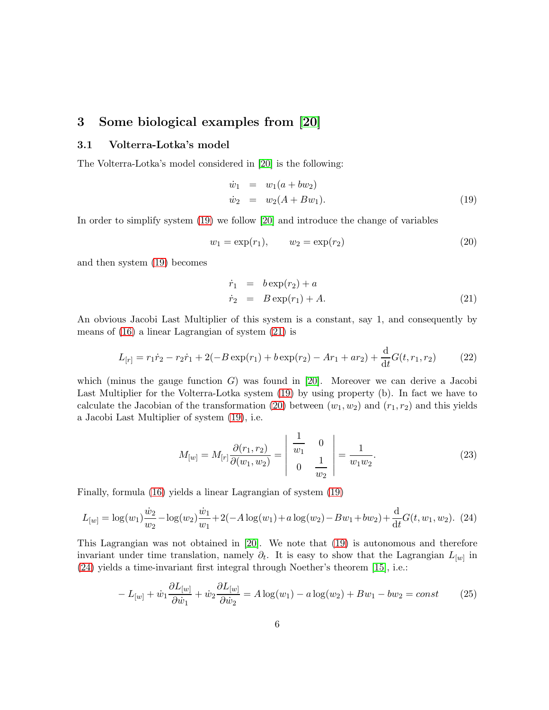# 3 Some biological examples from [\[20\]](#page-14-0)

### 3.1 Volterra-Lotka's model

The Volterra-Lotka's model considered in [\[20\]](#page-14-0) is the following:

<span id="page-5-0"></span>
$$
\begin{array}{rcl}\n\dot{w}_1 & = & w_1(a + bw_2) \\
\dot{w}_2 & = & w_2(A + Bw_1).\n\end{array} \tag{19}
$$

In order to simplify system [\(19\)](#page-5-0) we follow [\[20\]](#page-14-0) and introduce the change of variables

<span id="page-5-2"></span>
$$
w_1 = \exp(r_1), \qquad w_2 = \exp(r_2) \tag{20}
$$

and then system [\(19\)](#page-5-0) becomes

<span id="page-5-1"></span>
$$
\dot{r}_1 = b \exp(r_2) + a \n\dot{r}_2 = B \exp(r_1) + A.
$$
\n(21)

An obvious Jacobi Last Multiplier of this system is a constant, say 1, and consequently by means of [\(16\)](#page-4-4) a linear Lagrangian of system [\(21\)](#page-5-1) is

$$
L_{[r]} = r_1 \dot{r}_2 - r_2 \dot{r}_1 + 2(-B \exp(r_1) + b \exp(r_2) - Ar_1 + ar_2) + \frac{d}{dt} G(t, r_1, r_2)
$$
 (22)

which (minus the gauge function  $G$ ) was found in [\[20\]](#page-14-0). Moreover we can derive a Jacobi Last Multiplier for the Volterra-Lotka system [\(19\)](#page-5-0) by using property (b). In fact we have to calculate the Jacobian of the transformation [\(20\)](#page-5-2) between  $(w_1, w_2)$  and  $(r_1, r_2)$  and this yields a Jacobi Last Multiplier of system [\(19\)](#page-5-0), i.e.

$$
M_{[w]} = M_{[r]} \frac{\partial(r_1, r_2)}{\partial(w_1, w_2)} = \begin{vmatrix} \frac{1}{w_1} & 0\\ 0 & \frac{1}{w_2} \end{vmatrix} = \frac{1}{w_1 w_2}.
$$
 (23)

Finally, formula [\(16\)](#page-4-4) yields a linear Lagrangian of system [\(19\)](#page-5-0)

<span id="page-5-3"></span>
$$
L_{[w]} = \log(w_1)\frac{\dot{w}_2}{w_2} - \log(w_2)\frac{\dot{w}_1}{w_1} + 2(-A\log(w_1) + a\log(w_2) - Bw_1 + bw_2) + \frac{d}{dt}G(t, w_1, w_2).
$$
 (24)

This Lagrangian was not obtained in [\[20\]](#page-14-0). We note that [\(19\)](#page-5-0) is autonomous and therefore invariant under time translation, namely  $\partial_t$ . It is easy to show that the Lagrangian  $L_{[w]}$  in [\(24\)](#page-5-3) yields a time-invariant first integral through Noether's theorem [\[15\]](#page-14-6), i.e.:

$$
-L_{[w]} + \dot{w}_1 \frac{\partial L_{[w]}}{\partial \dot{w}_1} + \dot{w}_2 \frac{\partial L_{[w]}}{\partial \dot{w}_2} = A \log(w_1) - a \log(w_2) + Bw_1 - bw_2 = const
$$
 (25)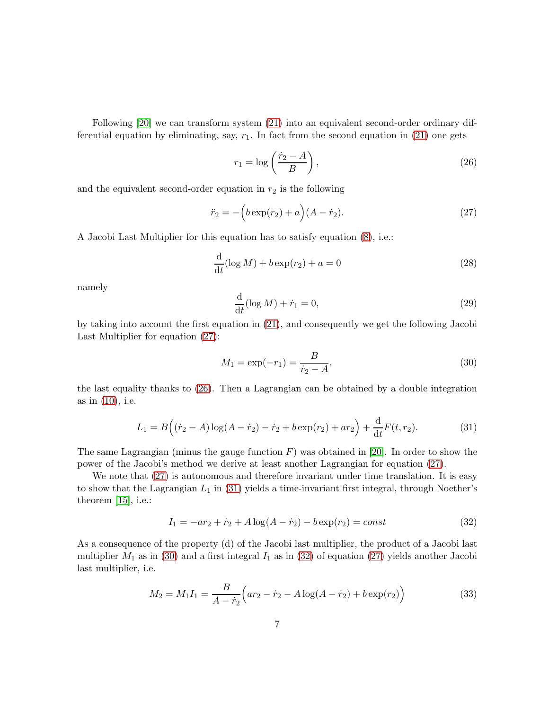Following [\[20\]](#page-14-0) we can transform system [\(21\)](#page-5-1) into an equivalent second-order ordinary differential equation by eliminating, say,  $r_1$ . In fact from the second equation in [\(21\)](#page-5-1) one gets

<span id="page-6-1"></span>
$$
r_1 = \log\left(\frac{\dot{r}_2 - A}{B}\right),\tag{26}
$$

and the equivalent second-order equation in  $r_2$  is the following

<span id="page-6-0"></span>
$$
\ddot{r}_2 = -\left(b \exp(r_2) + a\right)(A - \dot{r}_2). \tag{27}
$$

A Jacobi Last Multiplier for this equation has to satisfy equation [\(8\)](#page-3-2), i.e.:

$$
\frac{\mathrm{d}}{\mathrm{d}t}(\log M) + b \exp(r_2) + a = 0 \tag{28}
$$

namely

$$
\frac{\mathrm{d}}{\mathrm{d}t}(\log M) + \dot{r}_1 = 0,\tag{29}
$$

by taking into account the first equation in [\(21\)](#page-5-1), and consequently we get the following Jacobi Last Multiplier for equation [\(27\)](#page-6-0):

<span id="page-6-3"></span>
$$
M_1 = \exp(-r_1) = \frac{B}{\dot{r}_2 - A},\tag{30}
$$

the last equality thanks to [\(26\)](#page-6-1). Then a Lagrangian can be obtained by a double integration as in [\(10\)](#page-3-4), i.e.

<span id="page-6-2"></span>
$$
L_1 = B((\dot{r}_2 - A)\log(A - \dot{r}_2) - \dot{r}_2 + b\exp(r_2) + ar_2) + \frac{d}{dt}F(t, r_2).
$$
 (31)

The same Lagrangian (minus the gauge function  $F$ ) was obtained in [\[20\]](#page-14-0). In order to show the power of the Jacobi's method we derive at least another Lagrangian for equation [\(27\)](#page-6-0).

We note that  $(27)$  is autonomous and therefore invariant under time translation. It is easy to show that the Lagrangian  $L_1$  in [\(31\)](#page-6-2) yields a time-invariant first integral, through Noether's theorem  $[15]$ , i.e.:

<span id="page-6-4"></span>
$$
I_1 = -ar_2 + \dot{r}_2 + A\log(A - \dot{r}_2) - b\exp(r_2) = const \tag{32}
$$

As a consequence of the property (d) of the Jacobi last multiplier, the product of a Jacobi last multiplier  $M_1$  as in [\(30\)](#page-6-3) and a first integral  $I_1$  as in [\(32\)](#page-6-4) of equation [\(27\)](#page-6-0) yields another Jacobi last multiplier, i.e.

<span id="page-6-5"></span>
$$
M_2 = M_1 I_1 = \frac{B}{A - \dot{r}_2} \Big( a r_2 - \dot{r}_2 - A \log(A - \dot{r}_2) + b \exp(r_2) \Big)
$$
(33)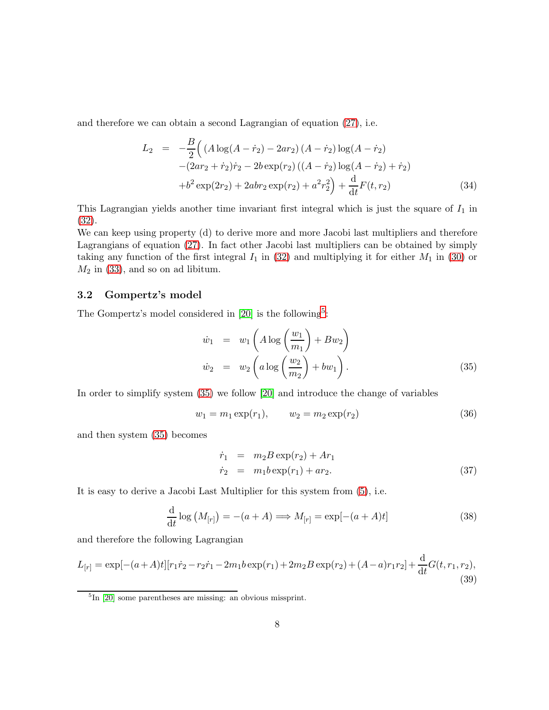and therefore we can obtain a second Lagrangian of equation [\(27\)](#page-6-0), i.e.

$$
L_2 = -\frac{B}{2} \Big( (A \log(A - \dot{r}_2) - 2ar_2) (A - \dot{r}_2) \log(A - \dot{r}_2) - (2ar_2 + \dot{r}_2)\dot{r}_2 - 2b \exp(r_2) ((A - \dot{r}_2) \log(A - \dot{r}_2) + \dot{r}_2) + b^2 \exp(2r_2) + 2abr_2 \exp(r_2) + a^2r_2^2 \Big) + \frac{d}{dt} F(t, r_2)
$$
(34)

This Lagrangian yields another time invariant first integral which is just the square of  $I_1$  in [\(32\)](#page-6-4).

We can keep using property (d) to derive more and more Jacobi last multipliers and therefore Lagrangians of equation [\(27\)](#page-6-0). In fact other Jacobi last multipliers can be obtained by simply taking any function of the first integral  $I_1$  in [\(32\)](#page-6-4) and multiplying it for either  $M_1$  in [\(30\)](#page-6-3) or  $M_2$  in [\(33\)](#page-6-5), and so on ad libitum.

### 3.2 Gompertz's model

The Gompertz's model considered in [\[20\]](#page-14-0) is the following<sup>[5](#page-7-0)</sup>:

<span id="page-7-1"></span>
$$
\dot{w}_1 = w_1 \left( A \log \left( \frac{w_1}{m_1} \right) + B w_2 \right)
$$
  
\n
$$
\dot{w}_2 = w_2 \left( a \log \left( \frac{w_2}{m_2} \right) + b w_1 \right).
$$
\n(35)

In order to simplify system [\(35\)](#page-7-1) we follow [\[20\]](#page-14-0) and introduce the change of variables

<span id="page-7-3"></span>
$$
w_1 = m_1 \exp(r_1), \qquad w_2 = m_2 \exp(r_2) \tag{36}
$$

and then system [\(35\)](#page-7-1) becomes

<span id="page-7-4"></span>
$$
\dot{r}_1 = m_2 B \exp(r_2) + Ar_1 \n\dot{r}_2 = m_1 b \exp(r_1) + ar_2.
$$
\n(37)

It is easy to derive a Jacobi Last Multiplier for this system from [\(5\)](#page-3-3), i.e.

<span id="page-7-2"></span>
$$
\frac{\mathrm{d}}{\mathrm{d}t}\log\left(M_{[r]}\right) = -(a+A) \Longrightarrow M_{[r]} = \exp[-(a+A)t] \tag{38}
$$

and therefore the following Lagrangian

$$
L_{[r]} = \exp[-(a+A)t][r_1\dot{r}_2 - r_2\dot{r}_1 - 2m_1b\exp(r_1) + 2m_2B\exp(r_2) + (A-a)r_1r_2] + \frac{d}{dt}G(t, r_1, r_2),
$$
\n(39)

<span id="page-7-0"></span><sup>5</sup> In [\[20\]](#page-14-0) some parentheses are missing: an obvious missprint.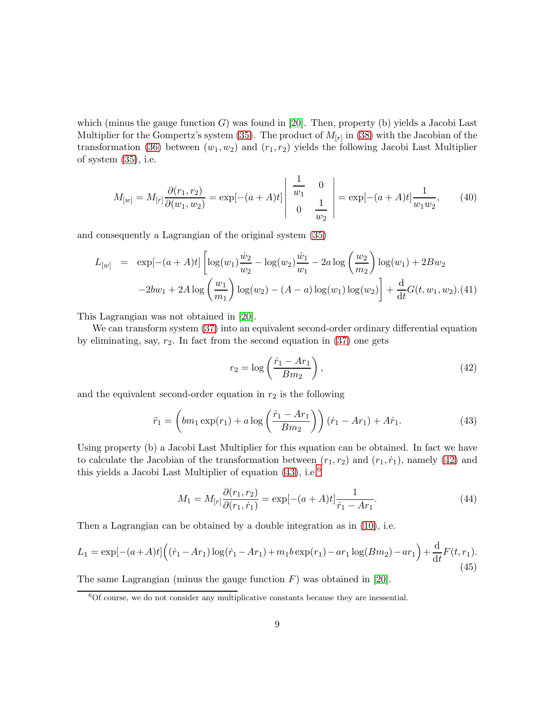which (minus the gauge function  $G$ ) was found in [\[20\]](#page-14-0). Then, property (b) yields a Jacobi Last Multiplier for the Gompertz's system [\(35\)](#page-7-1). The product of  $M_{[r]}$  in [\(38\)](#page-7-2) with the Jacobian of the transformation [\(36\)](#page-7-3) between  $(w_1, w_2)$  and  $(r_1, r_2)$  yields the following Jacobi Last Multiplier of system [\(35\)](#page-7-1), i.e.

$$
M_{[w]} = M_{[r]} \frac{\partial(r_1, r_2)}{\partial(w_1, w_2)} = \exp[-(a+A)t] \begin{vmatrix} \frac{1}{w_1} & 0\\ 0 & \frac{1}{w_2} \end{vmatrix} = \exp[-(a+A)t] \frac{1}{w_1 w_2}, \quad (40)
$$

and consequently a Lagrangian of the original system [\(35\)](#page-7-1)

$$
L_{[w]} = \exp[-(a+A)t] \left[ \log(w_1) \frac{\dot{w}_2}{w_2} - \log(w_2) \frac{\dot{w}_1}{w_1} - 2a \log \left( \frac{w_2}{m_2} \right) \log(w_1) + 2Bw_2 - 2bw_1 + 2A \log \left( \frac{w_1}{m_1} \right) \log(w_2) - (A - a) \log(w_1) \log(w_2) \right] + \frac{d}{dt} G(t, w_1, w_2). (41)
$$

This Lagrangian was not obtained in [\[20\]](#page-14-0).

We can transform system [\(37\)](#page-7-4) into an equivalent second-order ordinary differential equation by eliminating, say,  $r_2$ . In fact from the second equation in  $(37)$  one gets

<span id="page-8-0"></span>
$$
r_2 = \log\left(\frac{\dot{r}_1 - Ar_1}{Bm_2}\right),\tag{42}
$$

and the equivalent second-order equation in  $r_2$  is the following

<span id="page-8-1"></span>
$$
\ddot{r}_1 = \left(bm_1 \exp(r_1) + a \log\left(\frac{\dot{r}_1 - Ar_1}{Bm_2}\right)\right)(\dot{r}_1 - Ar_1) + A\dot{r}_1.
$$
\n(43)

Using property (b) a Jacobi Last Multiplier for this equation can be obtained. In fact we have to calculate the Jacobian of the transformation between  $(r_1, r_2)$  and  $(r_1, \dot{r}_1)$ , namely [\(42\)](#page-8-0) and this yields a Jacobi Last Multiplier of equation  $(43)$ , i.e.<sup>[6](#page-8-2)</sup>

$$
M_1 = M_{[r]} \frac{\partial(r_1, r_2)}{\partial(r_1, \dot{r}_1)} = \exp[-(a+A)t] \frac{1}{\dot{r}_1 - Ar_1}.
$$
\n(44)

Then a Lagrangian can be obtained by a double integration as in [\(10\)](#page-3-4), i.e.

$$
L_1 = \exp[-(a+A)t] \Big( (\dot{r}_1 - Ar_1) \log(\dot{r}_1 - Ar_1) + m_1 b \exp(r_1) - ar_1 \log(Bm_2) - ar_1 \Big) + \frac{d}{dt} F(t, r_1).
$$
\n(45)

The same Lagrangian (minus the gauge function  $F$ ) was obtained in [\[20\]](#page-14-0).

<span id="page-8-2"></span> $6$ Of course, we do not consider any multiplicative constants because they are inessential.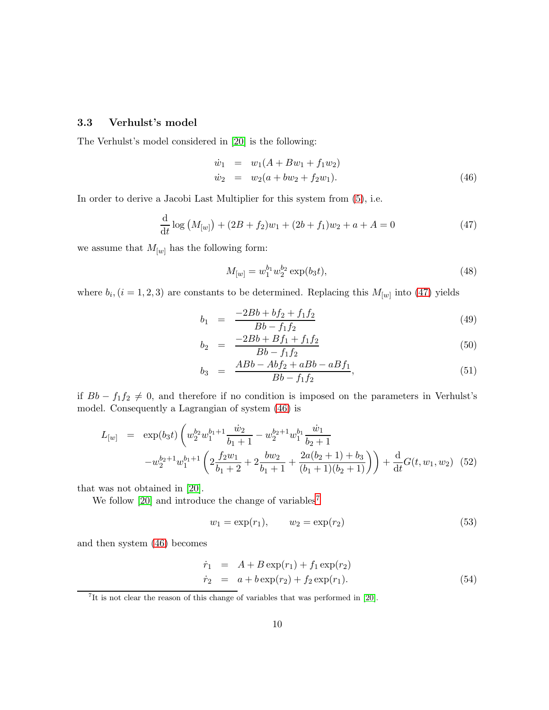#### 3.3 Verhulst's model

The Verhulst's model considered in [\[20\]](#page-14-0) is the following:

<span id="page-9-1"></span>
$$
\begin{array}{rcl}\n\dot{w}_1 & = & w_1(A + Bw_1 + f_1w_2) \\
\dot{w}_2 & = & w_2(a + bw_2 + f_2w_1).\n\end{array} \tag{46}
$$

In order to derive a Jacobi Last Multiplier for this system from [\(5\)](#page-3-3), i.e.

<span id="page-9-0"></span>
$$
\frac{\mathrm{d}}{\mathrm{d}t}\log\left(M_{[w]}\right) + (2B + f_2)w_1 + (2b + f_1)w_2 + a + A = 0\tag{47}
$$

we assume that  $M_{[w]}$  has the following form:

$$
M_{[w]} = w_1^{b_1} w_2^{b_2} \exp(b_3 t), \tag{48}
$$

where  $b_i$ ,  $(i = 1, 2, 3)$  are constants to be determined. Replacing this  $M_{[w]}$  into [\(47\)](#page-9-0) yields

$$
b_1 = \frac{-2Bb + bf_2 + f_1f_2}{Bb - f_1f_2} \tag{49}
$$

$$
b_2 = \frac{-2Bb + Bf_1 + f_1f_2}{Bb - f_1f_2} \tag{50}
$$

$$
b_3 = \frac{ABb - Abf_2 + aBb - aBf_1}{Bb - f_1f_2}, \tag{51}
$$

if  $Bb - f_1f_2 \neq 0$ , and therefore if no condition is imposed on the parameters in Verhulst's model. Consequently a Lagrangian of system [\(46\)](#page-9-1) is

$$
L_{[w]} = \exp(b_3 t) \left( w_2^{b_2} w_1^{b_1+1} \frac{\dot{w}_2}{b_1+1} - w_2^{b_2+1} w_1^{b_1} \frac{\dot{w}_1}{b_2+1} - w_2^{b_2+1} w_1^{b_1+1} \left( 2 \frac{f_2 w_1}{b_1+2} + 2 \frac{b w_2}{b_1+1} + \frac{2a(b_2+1)+b_3}{(b_1+1)(b_2+1)} \right) \right) + \frac{d}{dt} G(t, w_1, w_2)
$$
(52)

that was not obtained in [\[20\]](#page-14-0).

We follow [\[20\]](#page-14-0) and introduce the change of variables<sup>[7](#page-9-2)</sup>

$$
w_1 = \exp(r_1), \qquad w_2 = \exp(r_2) \tag{53}
$$

and then system [\(46\)](#page-9-1) becomes

<span id="page-9-3"></span>
$$
\dot{r}_1 = A + B \exp(r_1) + f_1 \exp(r_2) \n\dot{r}_2 = a + b \exp(r_2) + f_2 \exp(r_1).
$$
\n(54)

<span id="page-9-2"></span><sup>&</sup>lt;sup>7</sup>It is not clear the reason of this change of variables that was performed in [\[20\]](#page-14-0).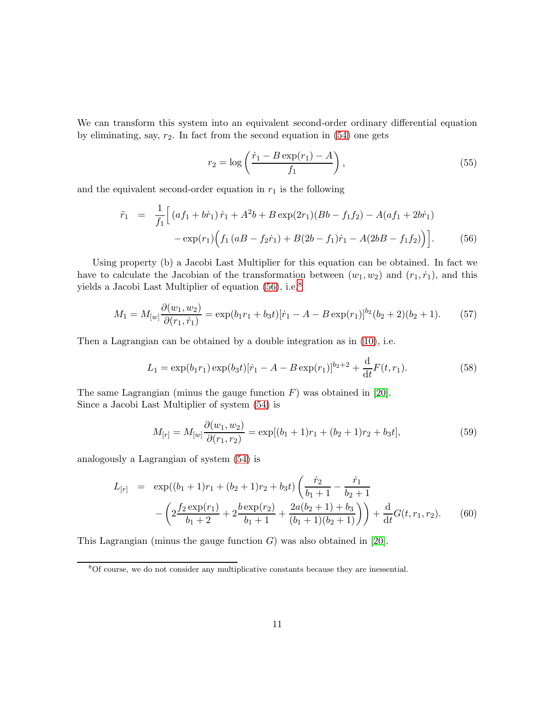We can transform this system into an equivalent second-order ordinary differential equation by eliminating, say,  $r_2$ . In fact from the second equation in  $(54)$  one gets

$$
r_2 = \log\left(\frac{\dot{r}_1 - B\exp(r_1) - A}{f_1}\right),\tag{55}
$$

and the equivalent second-order equation in  $r_1$  is the following

<span id="page-10-0"></span>
$$
\ddot{r}_1 = \frac{1}{f_1} \Big[ \left( af_1 + b\dot{r}_1 \right) \dot{r}_1 + A^2 b + B \exp(2r_1)(Bb - f_1 f_2) - A(af_1 + 2b\dot{r}_1) - \exp(r_1) \Big( f_1 \left( aB - f_2 \dot{r}_1 \right) + B(2b - f_1)\dot{r}_1 - A(2bB - f_1 f_2) \Big) \Big]. \tag{56}
$$

Using property (b) a Jacobi Last Multiplier for this equation can be obtained. In fact we have to calculate the Jacobian of the transformation between  $(w_1, w_2)$  and  $(r_1, \dot{r}_1)$ , and this yields a Jacobi Last Multiplier of equation  $(56)$ , i.e.<sup>[8](#page-10-1)</sup>

$$
M_1 = M_{[w]} \frac{\partial(w_1, w_2)}{\partial(r_1, r_1)} = \exp(b_1 r_1 + b_3 t) [\dot{r}_1 - A - B \exp(r_1)]^{b_2} (b_2 + 2)(b_2 + 1). \tag{57}
$$

Then a Lagrangian can be obtained by a double integration as in [\(10\)](#page-3-4), i.e.

$$
L_1 = \exp(b_1 r_1) \exp(b_3 t) [\dot{r}_1 - A - B \exp(r_1)]^{b_2 + 2} + \frac{d}{dt} F(t, r_1).
$$
 (58)

The same Lagrangian (minus the gauge function  $F$ ) was obtained in [\[20\]](#page-14-0). Since a Jacobi Last Multiplier of system [\(54\)](#page-9-3) is

$$
M_{[r]} = M_{[w]} \frac{\partial(w_1, w_2)}{\partial(r_1, r_2)} = \exp[(b_1 + 1)r_1 + (b_2 + 1)r_2 + b_3t],\tag{59}
$$

analogously a Lagrangian of system [\(54\)](#page-9-3) is

$$
L_{[r]} = \exp((b_1 + 1)r_1 + (b_2 + 1)r_2 + b_3t) \left(\frac{\dot{r}_2}{b_1 + 1} - \frac{\dot{r}_1}{b_2 + 1}\right)
$$

$$
-\left(2\frac{f_2 \exp(r_1)}{b_1 + 2} + 2\frac{b \exp(r_2)}{b_1 + 1} + \frac{2a(b_2 + 1) + b_3}{(b_1 + 1)(b_2 + 1)}\right) + \frac{d}{dt}G(t, r_1, r_2).
$$
(60)

This Lagrangian (minus the gauge function  $G$ ) was also obtained in [\[20\]](#page-14-0).

<span id="page-10-1"></span><sup>8</sup>Of course, we do not consider any multiplicative constants because they are inessential.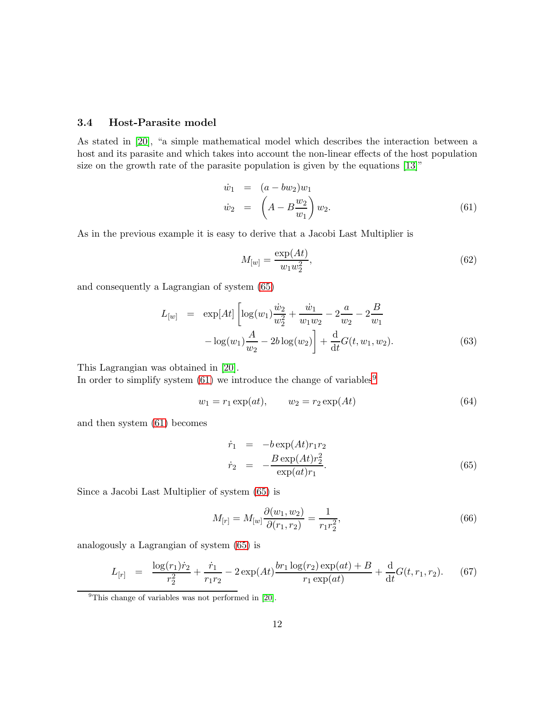#### 3.4 Host-Parasite model

As stated in [\[20\]](#page-14-0), "a simple mathematical model which describes the interaction between a host and its parasite and which takes into account the non-linear effects of the host population size on the growth rate of the parasite population is given by the equations [\[13\]](#page-14-3)"

<span id="page-11-1"></span>
$$
\dot{w}_1 = (a - bw_2)w_1 \n\dot{w}_2 = \left(A - B\frac{w_2}{w_1}\right)w_2.
$$
\n(61)

As in the previous example it is easy to derive that a Jacobi Last Multiplier is

$$
M_{[w]} = \frac{\exp(At)}{w_1 w_2^2},\tag{62}
$$

and consequently a Lagrangian of system [\(65\)](#page-11-0)

$$
L_{[w]} = \exp[At] \left[ \log(w_1) \frac{\dot{w}_2}{w_2^2} + \frac{\dot{w}_1}{w_1 w_2} - 2 \frac{a}{w_2} - 2 \frac{B}{w_1} - \log(w_1) \frac{A}{w_2} - 2b \log(w_2) \right] + \frac{d}{dt} G(t, w_1, w_2).
$$
 (63)

This Lagrangian was obtained in [\[20\]](#page-14-0).

In order to simplify system  $(61)$  we introduce the change of variables<sup>[9](#page-11-2)</sup>

$$
w_1 = r_1 \exp(at), \qquad w_2 = r_2 \exp(At) \tag{64}
$$

and then system [\(61\)](#page-11-1) becomes

<span id="page-11-0"></span>
$$
\dot{r}_1 = -b \exp(At) r_1 r_2 \n\dot{r}_2 = -\frac{B \exp(At) r_2^2}{\exp(at) r_1}.
$$
\n(65)

Since a Jacobi Last Multiplier of system [\(65\)](#page-11-0) is

$$
M_{[r]} = M_{[w]} \frac{\partial(w_1, w_2)}{\partial(r_1, r_2)} = \frac{1}{r_1 r_2^2},\tag{66}
$$

analogously a Lagrangian of system [\(65\)](#page-11-0) is

$$
L_{[r]} = \frac{\log(r_1)\dot{r}_2}{r_2^2} + \frac{\dot{r}_1}{r_1r_2} - 2\exp(At)\frac{br_1\log(r_2)\exp(at) + B}{r_1\exp(at)} + \frac{d}{dt}G(t, r_1, r_2).
$$
 (67)

<span id="page-11-2"></span><sup>&</sup>lt;sup>9</sup>This change of variables was not performed in [\[20\]](#page-14-0).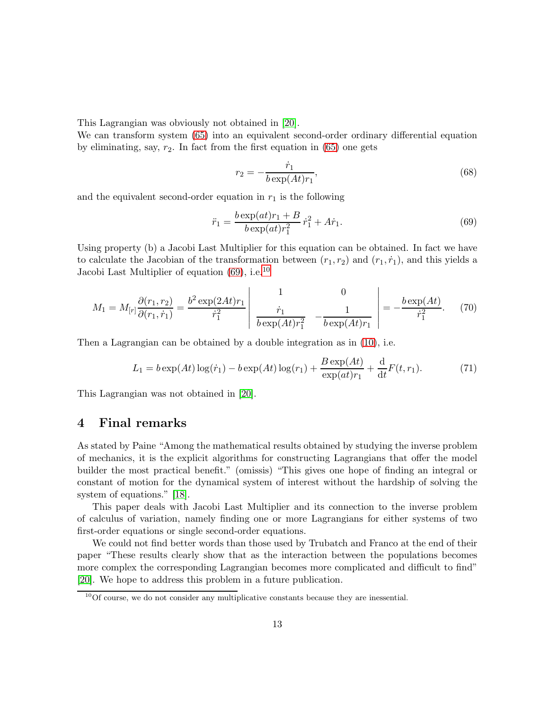This Lagrangian was obviously not obtained in [\[20\]](#page-14-0).

We can transform system [\(65\)](#page-11-0) into an equivalent second-order ordinary differential equation by eliminating, say,  $r_2$ . In fact from the first equation in  $(65)$  one gets

$$
r_2 = -\frac{\dot{r}_1}{b \exp(At)r_1},\tag{68}
$$

and the equivalent second-order equation in  $r_1$  is the following

<span id="page-12-0"></span>
$$
\ddot{r}_1 = \frac{b \exp(at)r_1 + B}{b \exp(at)r_1^2} \dot{r}_1^2 + A\dot{r}_1.
$$
\n(69)

Using property (b) a Jacobi Last Multiplier for this equation can be obtained. In fact we have to calculate the Jacobian of the transformation between  $(r_1, r_2)$  and  $(r_1, \dot{r}_1)$ , and this yields a Jacobi Last Multiplier of equation  $(69)$ , i.e.<sup>[10](#page-12-1)</sup>

$$
M_1 = M_{[r]} \frac{\partial(r_1, r_2)}{\partial(r_1, \dot{r}_1)} = \frac{b^2 \exp(2At)r_1}{\dot{r}_1^2} \left| \frac{1}{\dot{r}_1} \frac{0}{b \exp(At)r_1^2} - \frac{1}{b \exp(At)r_1} \right| = -\frac{b \exp(At)}{\dot{r}_1^2}.
$$
 (70)

Then a Lagrangian can be obtained by a double integration as in [\(10\)](#page-3-4), i.e.

$$
L_1 = b \exp(At) \log(\dot{r}_1) - b \exp(At) \log(r_1) + \frac{B \exp(At)}{\exp(at)r_1} + \frac{d}{dt} F(t, r_1).
$$
 (71)

This Lagrangian was not obtained in [\[20\]](#page-14-0).

### 4 Final remarks

As stated by Paine "Among the mathematical results obtained by studying the inverse problem of mechanics, it is the explicit algorithms for constructing Lagrangians that offer the model builder the most practical benefit." (omissis) "This gives one hope of finding an integral or constant of motion for the dynamical system of interest without the hardship of solving the system of equations." [\[18\]](#page-14-5).

This paper deals with Jacobi Last Multiplier and its connection to the inverse problem of calculus of variation, namely finding one or more Lagrangians for either systems of two first-order equations or single second-order equations.

We could not find better words than those used by Trubatch and Franco at the end of their paper "These results clearly show that as the interaction between the populations becomes more complex the corresponding Lagrangian becomes more complicated and difficult to find" [\[20\]](#page-14-0). We hope to address this problem in a future publication.

<span id="page-12-1"></span> $10$ Of course, we do not consider any multiplicative constants because they are inessential.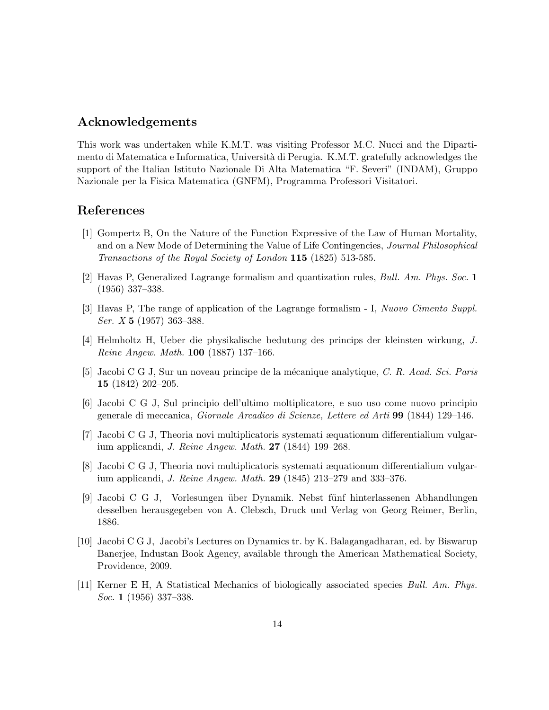### Acknowledgements

This work was undertaken while K.M.T. was visiting Professor M.C. Nucci and the Dipartimento di Matematica e Informatica, Università di Perugia. K.M.T. gratefully acknowledges the support of the Italian Istituto Nazionale Di Alta Matematica "F. Severi" (INDAM), Gruppo Nazionale per la Fisica Matematica (GNFM), Programma Professori Visitatori.

### <span id="page-13-0"></span>References

- [1] Gompertz B, On the Nature of the Function Expressive of the Law of Human Mortality, and on a New Mode of Determining the Value of Life Contingencies, Journal Philosophical Transactions of the Royal Society of London 115 (1825) 513-585.
- <span id="page-13-3"></span>[2] Havas P, Generalized Lagrange formalism and quantization rules, Bull. Am. Phys. Soc. 1 (1956) 337–338.
- [3] Havas P, The range of application of the Lagrange formalism I, Nuovo Cimento Suppl. Ser.  $X$  5 (1957) 363-388.
- [4] Helmholtz H, Ueber die physikalische bedutung des princips der kleinsten wirkung, J. Reine Angew. Math. 100 (1887) 137–166.
- [5] Jacobi C G J, Sur un noveau principe de la mécanique analytique, C. R. Acad. Sci. Paris 15 (1842) 202–205.
- [6] Jacobi C G J, Sul principio dell'ultimo moltiplicatore, e suo uso come nuovo principio generale di meccanica, Giornale Arcadico di Scienze, Lettere ed Arti 99 (1844) 129–146.
- [7] Jacobi C G J, Theoria novi multiplicatoris systemati æquationum differentialium vulgarium applicandi, J. Reine Angew. Math. 27 (1844) 199–268.
- [8] Jacobi C G J, Theoria novi multiplicatoris systemati æquationum differentialium vulgarium applicandi, J. Reine Angew. Math. 29 (1845) 213–279 and 333–376.
- <span id="page-13-1"></span>[9] Jacobi C G J, Vorlesungen über Dynamik. Nebst fünf hinterlassenen Abhandlungen desselben herausgegeben von A. Clebsch, Druck und Verlag von Georg Reimer, Berlin, 1886.
- <span id="page-13-2"></span>[10] Jacobi C G J, Jacobi's Lectures on Dynamics tr. by K. Balagangadharan, ed. by Biswarup Banerjee, Industan Book Agency, available through the American Mathematical Society, Providence, 2009.
- <span id="page-13-4"></span>[11] Kerner E H, A Statistical Mechanics of biologically associated species Bull. Am. Phys. Soc. 1 (1956) 337–338.